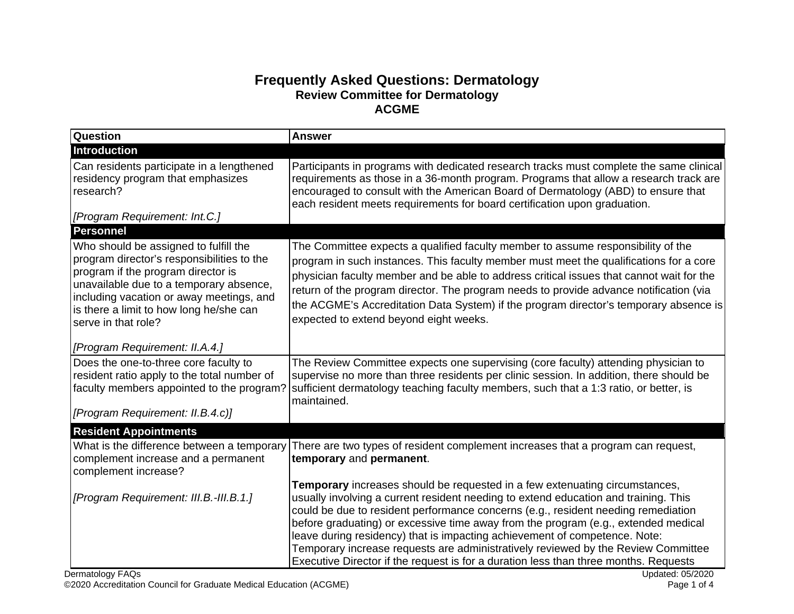## **Frequently Asked Questions: Dermatology Review Committee for Dermatology ACGME**

| <b>Question</b>                                                                                                                                                                                                                                                                    | <b>Answer</b>                                                                                                                                                                                                                                                                                                                                                                                                                                                                                                                                                                                            |
|------------------------------------------------------------------------------------------------------------------------------------------------------------------------------------------------------------------------------------------------------------------------------------|----------------------------------------------------------------------------------------------------------------------------------------------------------------------------------------------------------------------------------------------------------------------------------------------------------------------------------------------------------------------------------------------------------------------------------------------------------------------------------------------------------------------------------------------------------------------------------------------------------|
| <b>Introduction</b>                                                                                                                                                                                                                                                                |                                                                                                                                                                                                                                                                                                                                                                                                                                                                                                                                                                                                          |
| Can residents participate in a lengthened<br>residency program that emphasizes<br>research?                                                                                                                                                                                        | Participants in programs with dedicated research tracks must complete the same clinical<br>requirements as those in a 36-month program. Programs that allow a research track are<br>encouraged to consult with the American Board of Dermatology (ABD) to ensure that<br>each resident meets requirements for board certification upon graduation.                                                                                                                                                                                                                                                       |
| [Program Requirement: Int.C.]                                                                                                                                                                                                                                                      |                                                                                                                                                                                                                                                                                                                                                                                                                                                                                                                                                                                                          |
| <b>Personnel</b>                                                                                                                                                                                                                                                                   |                                                                                                                                                                                                                                                                                                                                                                                                                                                                                                                                                                                                          |
| Who should be assigned to fulfill the<br>program director's responsibilities to the<br>program if the program director is<br>unavailable due to a temporary absence,<br>including vacation or away meetings, and<br>is there a limit to how long he/she can<br>serve in that role? | The Committee expects a qualified faculty member to assume responsibility of the<br>program in such instances. This faculty member must meet the qualifications for a core<br>physician faculty member and be able to address critical issues that cannot wait for the<br>return of the program director. The program needs to provide advance notification (via<br>the ACGME's Accreditation Data System) if the program director's temporary absence is<br>expected to extend beyond eight weeks.                                                                                                      |
| [Program Requirement: II.A.4.]                                                                                                                                                                                                                                                     |                                                                                                                                                                                                                                                                                                                                                                                                                                                                                                                                                                                                          |
| Does the one-to-three core faculty to<br>resident ratio apply to the total number of<br>faculty members appointed to the program?                                                                                                                                                  | The Review Committee expects one supervising (core faculty) attending physician to<br>supervise no more than three residents per clinic session. In addition, there should be<br>sufficient dermatology teaching faculty members, such that a 1:3 ratio, or better, is<br>maintained.                                                                                                                                                                                                                                                                                                                    |
| [Program Requirement: II.B.4.c)]                                                                                                                                                                                                                                                   |                                                                                                                                                                                                                                                                                                                                                                                                                                                                                                                                                                                                          |
| <b>Resident Appointments</b>                                                                                                                                                                                                                                                       |                                                                                                                                                                                                                                                                                                                                                                                                                                                                                                                                                                                                          |
| What is the difference between a temporary<br>complement increase and a permanent<br>complement increase?                                                                                                                                                                          | There are two types of resident complement increases that a program can request,<br>temporary and permanent.                                                                                                                                                                                                                                                                                                                                                                                                                                                                                             |
| [Program Requirement: III.B.-III.B.1.]                                                                                                                                                                                                                                             | Temporary increases should be requested in a few extenuating circumstances,<br>usually involving a current resident needing to extend education and training. This<br>could be due to resident performance concerns (e.g., resident needing remediation<br>before graduating) or excessive time away from the program (e.g., extended medical<br>leave during residency) that is impacting achievement of competence. Note:<br>Temporary increase requests are administratively reviewed by the Review Committee<br>Executive Director if the request is for a duration less than three months. Requests |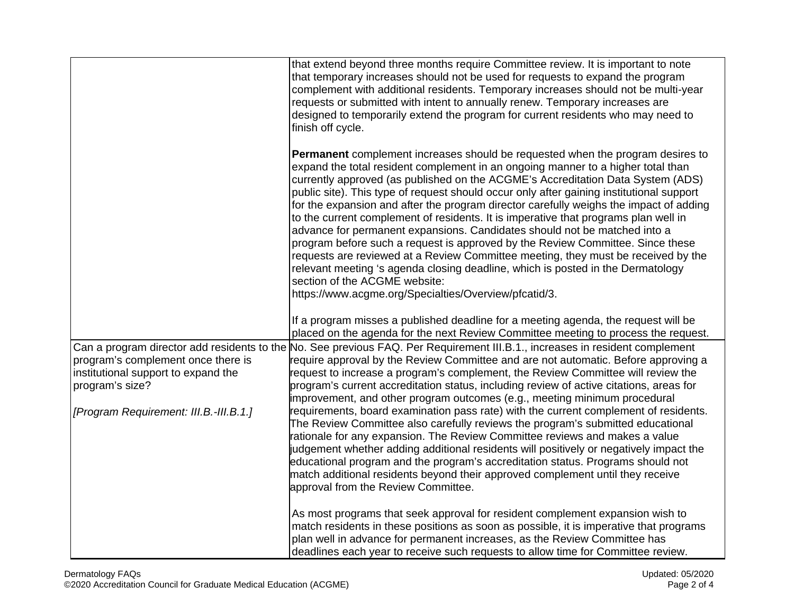|                                        | that extend beyond three months require Committee review. It is important to note<br>that temporary increases should not be used for requests to expand the program<br>complement with additional residents. Temporary increases should not be multi-year<br>requests or submitted with intent to annually renew. Temporary increases are<br>designed to temporarily extend the program for current residents who may need to<br>finish off cycle.                                                                                                                                                                                                                                                                                                                                                                                                                                                                                                                         |
|----------------------------------------|----------------------------------------------------------------------------------------------------------------------------------------------------------------------------------------------------------------------------------------------------------------------------------------------------------------------------------------------------------------------------------------------------------------------------------------------------------------------------------------------------------------------------------------------------------------------------------------------------------------------------------------------------------------------------------------------------------------------------------------------------------------------------------------------------------------------------------------------------------------------------------------------------------------------------------------------------------------------------|
|                                        | <b>Permanent</b> complement increases should be requested when the program desires to<br>expand the total resident complement in an ongoing manner to a higher total than<br>currently approved (as published on the ACGME's Accreditation Data System (ADS)<br>public site). This type of request should occur only after gaining institutional support<br>for the expansion and after the program director carefully weighs the impact of adding<br>to the current complement of residents. It is imperative that programs plan well in<br>advance for permanent expansions. Candidates should not be matched into a<br>program before such a request is approved by the Review Committee. Since these<br>requests are reviewed at a Review Committee meeting, they must be received by the<br>relevant meeting 's agenda closing deadline, which is posted in the Dermatology<br>section of the ACGME website:<br>https://www.acgme.org/Specialties/Overview/pfcatid/3. |
|                                        | If a program misses a published deadline for a meeting agenda, the request will be<br>placed on the agenda for the next Review Committee meeting to process the request.                                                                                                                                                                                                                                                                                                                                                                                                                                                                                                                                                                                                                                                                                                                                                                                                   |
|                                        | Can a program director add residents to the No. See previous FAQ. Per Requirement III.B.1., increases in resident complement                                                                                                                                                                                                                                                                                                                                                                                                                                                                                                                                                                                                                                                                                                                                                                                                                                               |
| program's complement once there is     | require approval by the Review Committee and are not automatic. Before approving a                                                                                                                                                                                                                                                                                                                                                                                                                                                                                                                                                                                                                                                                                                                                                                                                                                                                                         |
| institutional support to expand the    | request to increase a program's complement, the Review Committee will review the                                                                                                                                                                                                                                                                                                                                                                                                                                                                                                                                                                                                                                                                                                                                                                                                                                                                                           |
| program's size?                        | program's current accreditation status, including review of active citations, areas for                                                                                                                                                                                                                                                                                                                                                                                                                                                                                                                                                                                                                                                                                                                                                                                                                                                                                    |
| [Program Requirement: III.B.-III.B.1.] | improvement, and other program outcomes (e.g., meeting minimum procedural<br>requirements, board examination pass rate) with the current complement of residents.                                                                                                                                                                                                                                                                                                                                                                                                                                                                                                                                                                                                                                                                                                                                                                                                          |
|                                        | The Review Committee also carefully reviews the program's submitted educational                                                                                                                                                                                                                                                                                                                                                                                                                                                                                                                                                                                                                                                                                                                                                                                                                                                                                            |
|                                        | rationale for any expansion. The Review Committee reviews and makes a value                                                                                                                                                                                                                                                                                                                                                                                                                                                                                                                                                                                                                                                                                                                                                                                                                                                                                                |
|                                        | judgement whether adding additional residents will positively or negatively impact the                                                                                                                                                                                                                                                                                                                                                                                                                                                                                                                                                                                                                                                                                                                                                                                                                                                                                     |
|                                        | educational program and the program's accreditation status. Programs should not                                                                                                                                                                                                                                                                                                                                                                                                                                                                                                                                                                                                                                                                                                                                                                                                                                                                                            |
|                                        | match additional residents beyond their approved complement until they receive<br>approval from the Review Committee.                                                                                                                                                                                                                                                                                                                                                                                                                                                                                                                                                                                                                                                                                                                                                                                                                                                      |
|                                        |                                                                                                                                                                                                                                                                                                                                                                                                                                                                                                                                                                                                                                                                                                                                                                                                                                                                                                                                                                            |
|                                        | As most programs that seek approval for resident complement expansion wish to                                                                                                                                                                                                                                                                                                                                                                                                                                                                                                                                                                                                                                                                                                                                                                                                                                                                                              |
|                                        | match residents in these positions as soon as possible, it is imperative that programs                                                                                                                                                                                                                                                                                                                                                                                                                                                                                                                                                                                                                                                                                                                                                                                                                                                                                     |
|                                        | plan well in advance for permanent increases, as the Review Committee has                                                                                                                                                                                                                                                                                                                                                                                                                                                                                                                                                                                                                                                                                                                                                                                                                                                                                                  |
|                                        | deadlines each year to receive such requests to allow time for Committee review.                                                                                                                                                                                                                                                                                                                                                                                                                                                                                                                                                                                                                                                                                                                                                                                                                                                                                           |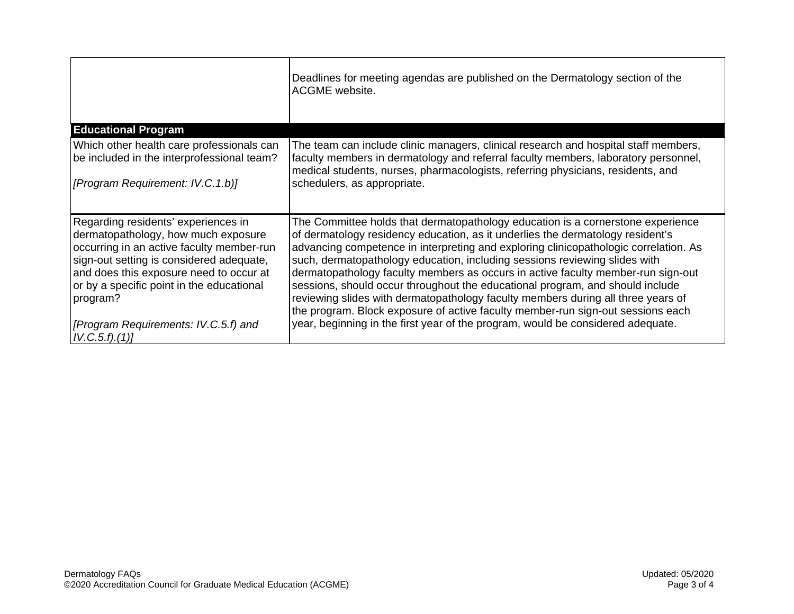|                                                                                                                                                                                                                                                                                                                                       | Deadlines for meeting agendas are published on the Dermatology section of the<br>ACGME website.                                                                                                                                                                                                                                                                                                                                                                                                                                                                                                                                                                                                                                                                        |
|---------------------------------------------------------------------------------------------------------------------------------------------------------------------------------------------------------------------------------------------------------------------------------------------------------------------------------------|------------------------------------------------------------------------------------------------------------------------------------------------------------------------------------------------------------------------------------------------------------------------------------------------------------------------------------------------------------------------------------------------------------------------------------------------------------------------------------------------------------------------------------------------------------------------------------------------------------------------------------------------------------------------------------------------------------------------------------------------------------------------|
| <b>Educational Program</b>                                                                                                                                                                                                                                                                                                            |                                                                                                                                                                                                                                                                                                                                                                                                                                                                                                                                                                                                                                                                                                                                                                        |
| Which other health care professionals can<br>be included in the interprofessional team?<br>[Program Requirement: IV.C.1.b)]                                                                                                                                                                                                           | The team can include clinic managers, clinical research and hospital staff members,<br>faculty members in dermatology and referral faculty members, laboratory personnel,<br>medical students, nurses, pharmacologists, referring physicians, residents, and<br>schedulers, as appropriate.                                                                                                                                                                                                                                                                                                                                                                                                                                                                            |
| Regarding residents' experiences in<br>dermatopathology, how much exposure<br>occurring in an active faculty member-run<br>sign-out setting is considered adequate,<br>and does this exposure need to occur at<br>or by a specific point in the educational<br>program?<br>[Program Requirements: IV.C.5.f) and<br>$ IV.C.5.f$ ).(1)] | The Committee holds that dermatopathology education is a cornerstone experience<br>of dermatology residency education, as it underlies the dermatology resident's<br>advancing competence in interpreting and exploring clinicopathologic correlation. As<br>such, dermatopathology education, including sessions reviewing slides with<br>dermatopathology faculty members as occurs in active faculty member-run sign-out<br>sessions, should occur throughout the educational program, and should include<br>reviewing slides with dermatopathology faculty members during all three years of<br>the program. Block exposure of active faculty member-run sign-out sessions each<br>year, beginning in the first year of the program, would be considered adequate. |